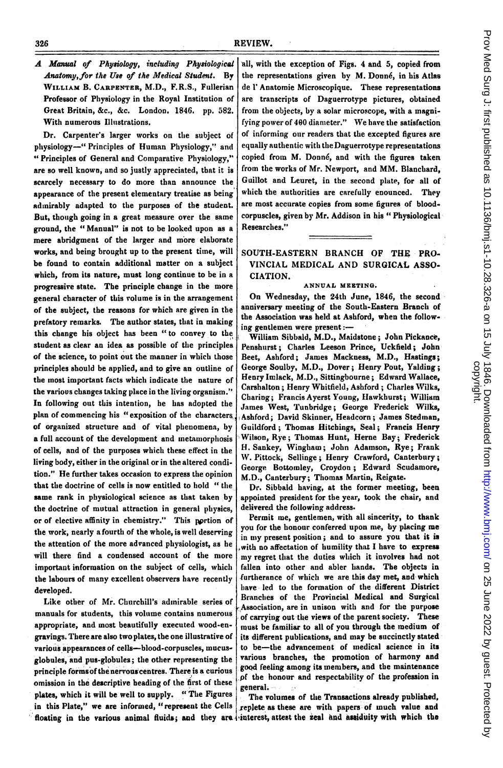A Manual of Physiology, including Physiological Anatomy,for the Use of the Medical Student. By WILLIAM B. CARPENTER, M.D., F.R.S., Fullerian Professor of Physiology in the Royal Institution of Great Britain, &c., &c. London. 1846. pp. 582. With numerous Illustrations.

Dr. Carpenter's larger works on the subject of physiology-" Principles of Human Physiology," and " Principles of General and Comparative Physiology," are so well known, and so justly appreciated, that it is scarcely necessary to do more than announce the appearance of the present elementary treatise as being adinirably adapted to the purposes of the student. But, though going in a great measure over the same ground, the " Manual" is not to be looked upon as a mere abridgment of the larger and more elaborate works, and being brought up to the present tine, will be found to contain additional matter on a subject which, from its nature, must long continue to be in a progressive state. The principle change in the more general character of this rolume is in the arrangement of the subject, the reasons for which are given in the prefatory remarks. The author states, that in making this change his object has been "to convey to the student as clear an idea as possible of the principlea of the science, to point out the manner in which those principles should be applied, and to give an outline of the most important facts which indicate the nature of the variovs changes taking place in the living organism." In following out this intention, he has adopted the plan of commencing his "exposition of the characters, of organized structure and of vital phenomena, by a full account of the development and metamorphosis of cells, and of the purposes which these effect in the living body, eitber in the original or in the altered condition." He further takes occasion to express the opinion that the doctrine of cells is now entitled to hold " the same rank in physiological science as that taken by the doctrine of mutual attraction in general physics, or of elective affinity in chemistry." This pprtion of the work, nearly a fourth of the whole, is well deserving the attention of the more advanced physiologist, as he will there find a condensed account of the more important information on the subject of cells, which the labours of many excellent observers have recently developed.

Like other of Mr. Churchill's admirable series of manuals for students, this volume contains numerous appropriate, and most beautifully executed wood-engravings. There are also two plates, the one illustrative of various appearances of cells-blood-corpuscles, mucusglobules, and pus-globules; the other representing the principle formsof the nervouscentres. There is a curious omission in the descriptive heading of the first of these plates, which it will be well to supply. "'The Figures in this Plate," we are informed, "represent the Cells floating in the various animal fluids; and they are-

all, with the exception of Figs. 4 and 5, copied from the representations given by M. Donn6, in his Atlas de <sup>1</sup>' Anatomie Microscopique. These representations are transcripts of Daguerrotype pictures, obtained from the objects, by a solar microscope, with a magnifying power of 400 diameter." We have the satisfaction of informing our readers that the excepted figures are equally authentic with the Daguerrotype representations copied from M. Donné, and with the figures taken from the works of Mr. Newport, and MM. Blanchard, Guillot and Leuret, in the second plate, for all of which the authorities are carefully enounced. They are most accurate copies from some figures of bloodcorpuscles, given by Mr. Addison in his " Physiological Researches."

SOUTH-EASTERN BRANCH OF THE PRO. VINCIAL MEDICAL AND SURGICAL ASSO-CIATION.

### ANNUAL MEETING.

On Wednesday, the 24th June, 1846, the second anniversary meeting of the South-Eastern Branch of the Association was held at Ashford, when the following gentlemen were present:-

William Sibbald, M.D., Maidstone; John Pickance, Penshurst; Charles Leeson Prince, Uckfield; John Beet, Ashford; James Mackness, M.D., Hastings; George Soulby, M.D., Dover; Henry Pout, Yalding; Henry Inmlack, M.D., Sittingbourne; Edward Wallace, Carshalton; Henry Whitfield, Ashford; Charles Wilks, Charing; Francis Ayerst Young, Hawkhurst; William James West, Tunbridge; George Frederick Wilks, ,Ashford; David Skinner, Headcorn; James Stedman, Guildford; Thomas Hitchings, Seal; Francis Henry Wilson, Rye; Thomas Hunt, Herne Bay; Frederick H. Sankey, Wingham; John Adamson, Rye; Frank W. Pittock, Sellinge; Henry Crawford, Canterbury; George Bottomley, Croydon; Edward Scudamore, M.D., Canterbury; Thomas Martin, Reigate.

Dr. Sibbald having, at the former meeting, been appointed president for the year, took the chair, and delivered the following address.

Permit me, gentlemen, with all sincerity, to thank you for the honour conferred upon me, by placing me in my present position; and to assure you that it is .with no affectation of humility that <sup>I</sup> have to express -my regret that the duties wlhich it involves had not fallen into other and abler hands. The objects in furtherance of which we are this day met, and which have led to the formation of the different District Branches of the Provincial Medical and Surgical Association, are in unison with and for the purpose of carrying out-the views of the parent society. These must be familiar to all of you through the medium of its different publications, and may be succinctly stated to be-the advancement of medical science in its various branches, the promotion of harmony and good feeling among its members, and the maintenance .pf the honour and respectability of the profession in general.-

The volumes of the Transactions already published, replete as these are with papers of much value and interest, attest the zeal and assiduity with which the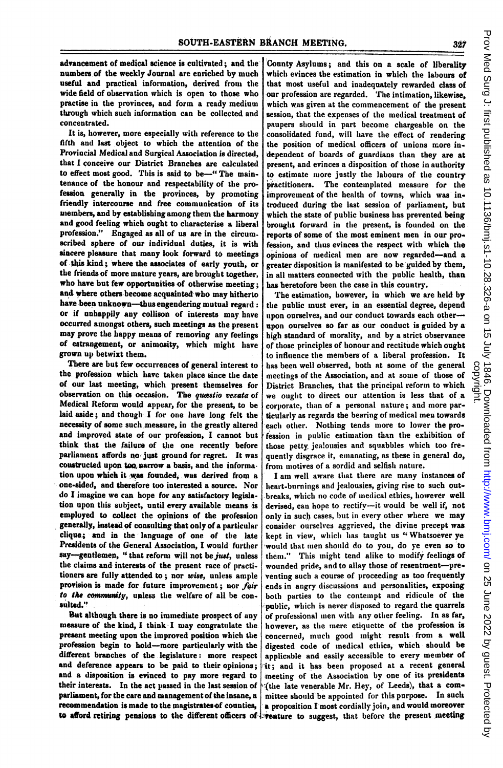advancement of medical science is cultivated; and the numbers of the weekly Journal are enriched by much useful and practical information, derived from the wide field of observation which is open to those who practise in the provinces, and form a ready medium through which such informnation can be collected and concentrated.

It is, however, more especially with reference to the fifth and last object to which the attention of the Provincial Medical and Surgical Association is directed, that I conceive our District Branches are calculated to effect most good. This is said to be-" The maintenance of the honour and respectability of the profesion generally in the provinces, by promoting friendly intercourse and free communication of its members, and by establishing among them the harmony and good feeling which ought to characterise a liberal profession." Engaged as all of us are in the circumscribed sphere of our individual duties, it is with sincere pleasure that many look forward to meetings of this kind; where the associates of early youth, or the friends of more mature years, are brought together, who have but few opportunities of otherwise meeting; and where others become acquainted who may hitherto have been unknown-thus engendering mutual regard: or if unhappily any collison of interests may have occurred amongst others, such meetings as the present may prove the happy means of removing any feelings of estrangement, or animosity, which might have grown up betwixt them.

There are but few occurrences of general interest to the profession which have taken place since the date of our last meeting, which present themselves for observation on this occasion. The quæstio vexata of Medical Reform would appear, for the present, to be laid aside; and though I for one have long felt the necessity of some such measure, in the greatly altered and improved state of our profession, I cannot but think that the failure of the one recently before parliament affords no just ground for regret. It was coustructed upon too, parrow a basis, and the information upon which it was founded, was derived from a one-sided, and therefore too interested a source. Nor do I imagine we can hope for any satisfactory legislation upon this subject, until every available means is employed to collect the opinions of the profession generally, instead of consulting that only of a particular clique; and in the language of one of the late Presidents of the General Association, <sup>I</sup> would further say-gentlemen, "that reform will not be just, unless the claims and interests of the present race of practitioners are fully attended to; nor wise, unless ample provision is made for future improvement; nor fair to the community, unless the welfare of all be consulted."

But although there is no immediate prospect of any measure of the kind, <sup>I</sup> think <sup>I</sup> may congratulate the present meeting upon the improved position which the profession begin to hold-more particularly with the different branches of the legislature: more respect and deference appears to be paid to their opinions; and a disposition is evinced to pay more regard to their interests. In the act passed in the last session of parliament, for the care and management of the insane, a recommendation is made to the magistratesof counties,

County Asylums; and this on a scale of liberality which evinces the estimation in which the labours of that most useful and inadequately rewarded class of our profession are regarded. The intimation, likewise, which was given at the commencement of the present session, that the expenses of the medical treatment of paupers should in part become chargeable on the consolidated fund, will have the effect of rendering the position of medical officers of unions more independent of boards of guardians than they are at present, and evinces a disposition of those in authority to estimate more justly the labours of the country practitioners. The contemplated measure for the improvement of the health of towns, which was introduced during the last session of parliament, but which the state of public business has prevented being brought forward in the present, is founded on the reports of some of the most eminent men in our profession, and thus evinces the respect with which the opinions of medical men are now regarded-and a greater disposition is manifested to be guided by them, in all matters connected with the public health, than has heretofore been the case in this country.

The estimation, however, in which we are held by the public must ever, in an essential degree, depend upon ourselves, and our conduct towards each otherupon ourselves so far as our conduct is guided by a high standard of norality, and by a strict observance of those principles of honour and rectitude which ought to influence the members of a liberal profession. It has been well observed, both at some of the general meetings of the Association, and at some of those of District Branches, that the principal reform to which we ought to direct our attention is less that of a corporate, tban of a personal nature; and more particularly as regards the bearing of medical men towards each other. Nothing tends more to lower the profession in public estimation than the exhibition of those petty jealousies and squabbles which too frequently disgrace it, emanating, as these in general do, from motives of a sordid and selfish nature.

to afford retiring pensions to the different officers of liveature to suggest, that before the present meeting I am well aware that there are many instances of heart-burnings and jealousies, giving rise to such out breaks, which no code of medical ethics, however well devised, can hope to rectify-it would be well if, not only in such cases, but in every other where we may consider ourselves aggrieved, the divine precept was kept in view, which has taught us "Whatsoever ye would that men should do to you, do ye even so to them." This might tend alike to modify feelings of wounded pride, and to allay those of resentment-preventing such a course of proceeding as too frequently ends in angry discussions and personalities, exposing both parties to the contempt and ridicule of the public, which is never disposed to regard the quarrels of professional men with any other feeling. In as far, however, as the mere etiquette of the profession is concerned, muchi good might result from a well digested code of inedical ethics, which sbould be applicable and easily accessible to every member of it; and it has been proposed at a recent general meeting of the Association by one of its presidents I(the late venerable Mr. Hey, of Leeds), that a committee should be appointed for this purpose. In suck a proposition <sup>I</sup> most cordially join, and would moreover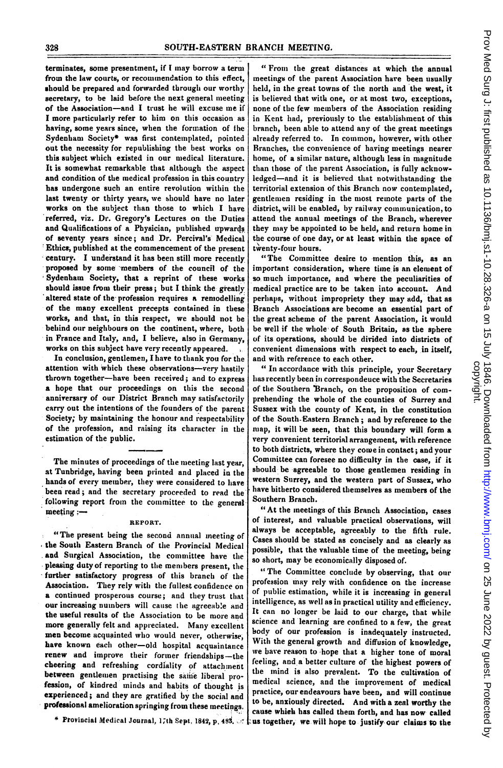terminates, some presentment, if <sup>I</sup> may borrow a term from the law courts, or recommendation to this effect, should be prepared and forwarded through our worthy secretary, to be laid before the next general meeting of the Association-and <sup>I</sup> trust he will excuse me if <sup>I</sup> more particularly refer to him on this occasion as having, some years since, when the formation of the Sydenham Society\* was first contemplated, pointed out the necessity for republishing the best works on this subject which existed in our medical literature. It is somewhat remarkable that although the aspect and condition of the medical profession in this country has undergone such an entire revolution within the last twenty or thirty years, we should have no later works on the subject than those to which <sup>I</sup> have referred, viz. Dr. Gregory's Lectures on the Duties and Qualifications of a Physician, published upwards of seventy years since; and Dr. Percival's Medical Ethics, published at the eommencement of the present century. I understand it has been still more recently proposed by some members of the council of the Sydenham Society, that a reprint of these works should issue from their press; but I think the greatly altered state of the profession requires a remodelling of the many excellent precepts contained in these works, and that, in this respect, we should not be behind our neighbours on the continent, where, both in France and Italy, and, <sup>I</sup> believe, also in Germany, works on this subject have very recently appeared.

In conclusion, gentlemen, I have to thank you for the attention with which these observations-very hastily thrown together-have been received; and to express a hope that our proceedings on this the second anniversary of our District Branch may satisfactorily carry out the intentions of the founders of the parent Society; by maintaining the honour and respectability of the profession, and raising its character in the estimation of the public.

The minutes of proceedings of the meeting last year, at Tunbridge, having been printed and placed in the hands of every member, they were considered to have been read; and the secretary proceeded to read the following report from the committee to the general meeting :-

#### REPORT.

"The present being the second annual meeting of the South Eastern Branch of the Provincial Medical and Surgical Association, the committee have the pleasing duty of reporting to the menmbers present, the -further satisfactory progress of this branch of the Association. They rely with the fullest confidence on a continued prosperous course; and they trust that our increasing numbers will cause the agreeable and the useful results of the Association to be more and more generally felt and appreciated. Many excellent men become acquainted who would never, otherwise, have known each other-old hospital acquaintance renew and improve their former friendships-the cheering and refreshing cordiality of attachment between gentlemen practising the same liberal profession, of kindred minds and habits of thought is experienced; and they are gratified by the social and professional amelioration springing from these meetings.

\* Provincial Medical Journal, 17th Sept, 1842, p. 483.

" From the great distances at which the annual meetings of the parent Association hare been usually held, in the great towns of the north and the west, it is believed that with one, or at most two, exceptions, none of the few members of the Association residing in Kent had, previously to the establishment of this branch, been able to attend any of the great meetings already referred to. In common, however, with other Branches, the convenience of having meetings nearer home, of a similar nature, although less in magnitude than those of the parent Association, is fully acknowledged-and it is believed that notwithstanding the territorial extension of this Branch now contemplated, gentlemen residing in the most remote parts of the district, will be enabled, by railway communication, to .attend the annual meetings of the Branch, wherever they may be appointed to be held, and return home in the course of one day, or at least within the space of twenty-four hours.

"The Committee desire to mention this, as an important consideration, where time is an element of so,much importance, and where the peculiarities of medical practice are to be taken into account. And perhaps, without impropriety they may add, that as Branch Associations are become an essential part of the great scheme of the parent Association, it would be well if the whole of South Britain, as the sphere of its operations, should be divided into districts of convenient dimensions with respect to each, in itself, and with reference to each otber.

" In accordance with this principle, your Secretary has recently been in correspondeuce with the Secretaries of the Southern 'Branch, on the proposition of comprehending the whole of the counties of Surrey and Sussex with the county of Kent, in the constitution of the South-Eastern Branch; and by reference to the map, it will be seen, that this boundary will form a very convenient territorial arrangement, with reference to both districts, where they come in contact; and your Committee can foresee no difficulty in the case, if it should be agreeable to those gentlemen residing in western Surrey, and the western part of Sussex, who have bitherto considered themselves as members of the Southern Branch.

"At the ineetings of this Branch Association, cases of interest, and valuable practical observations, will always be acceptable, agreeably to the fifth rule. Cases should be stated as concisely and as clearly as possible, that the valuable time of the meeting, being so short, may be economically disposed of.

" The Committee conclude by observing, that our profession tmay rely with confidence on the increase of public estimation, while it is increasing in general intelligence, as well as in practical utility and efficiency. It can no longer be laid to our charge, that while science and learning are confined to a few, the great bodv of our profession is inadequately instructed. With the general growth and diffusion of knowledge, we bave reason to hope that a higher tone of moral feeling, and a better culture of the highest powers of the mind is also prevalent. To the cultivation of medical science, and the improvement of medical practice, our endeavours have been, and will continue to be, anxiously directed. And with a zeal worthy the cause whieh has ealled them forth, and has now- called us tagether, we will hope to justify-our claims to the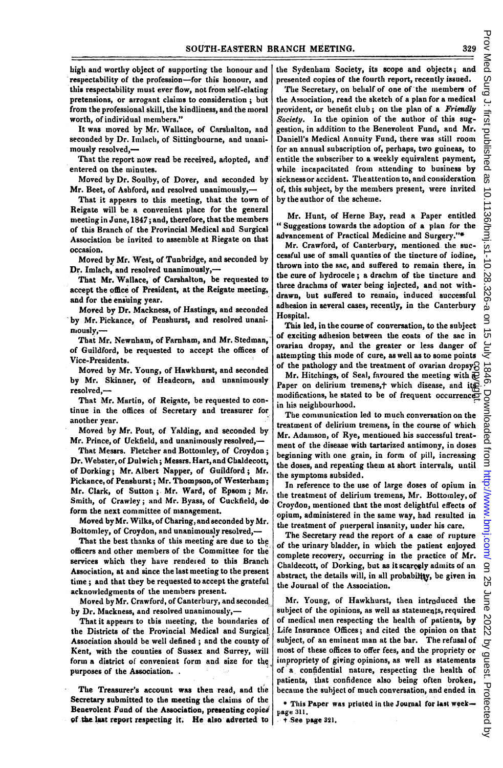high and worthy object of supporting the honour and respectability of the profession-for this honour, and this respectability must ever flow, not from self-elating pretensions, or arrogant claims to consideration; but from the professional skill, the kindliness, and the moral worth, of individual members."

It was moved by Mr. Wallace, of Carshalton, and seconded by Dr. Imlach, of Sittingbourne, and unanimously resolved,-

That the report now read be received, adopted, and' entered on the minutes.

Moved by Dr. Soulby, of Dover, and seconded by Mr. Beet, of Ashford, and resolved unanimously,-

That it appears to this meeting, that the town of Reigate will be a convenient place for the general meeting in June, 1847; and, therefore, that the members of this Branch of the Provincial Medical and Surgical Association be invited to assemble at Riegate on that occasion.

Moved by Mr. West, of Tunbridge, and seconded by Dr. Imlacb, and resolved unanimously,-

That Mr. Wallace, of Carshalton, be requested to accept the office of President, at the Reigate meeting, and for the ensuing year.

Moved by Dr. Mackness, of Hastings, and seconded by Mr. Pickance, of Penshurst, and resolved unanimously.-

That Mr. Newnham, of Farnham, and Mr. Stedman,' of Guildford, be requested to accept the offices of Vice-Presidents.

Moved by Mr. Young, of Hawkhurst, and seconded by Mr. Skinner, of Headcorn, and unanimously resolved.-

That Mr. Martin, of Reigate, be requested to continue in the offices of Secretary and treasurer for another year.

Moved by Mr. Pout, of Yalding, and seconded by Mr. Prince, of Uckfield, and unanimously resolved,-

That Messrs. Fletcher and Bottomley, of Croydon; Dr. Webster, of Dulwich; Messrs. Hart, and Cbaldecott, of Dorking; Mr. Albert Napper, of Guildford; Mr. Pickance, of Penshurst; Mr. Tbompson, of Westerham; Mr. Clark, of Sutton; Mr. Ward, of Epsom; Mr. Smith, of Crawley; and Mr. Byass, of Cuckfield, do form the next committee of management.

Moved byMr. Wilks, of Charing, and seconded by Mr. Bottomley, of Croydon, and unanimously resolved,-

That the best thanks of this meeting are due to the officers and other members of the Committee for the services which they have rendered to this Branch Association, at and since the last meeting to the present time; and that they be requested to accept the grateful acknowledgments of the members present.

Moved by Mr. Crawford, of Canterbury, and seconded by Dr. Mackness, and resolved unanimously,-

That it appears to tbis meeting, the boundaries of the Districts of the Provincial Medical and Surgical Association should be well defined; and the county of Kent, with the counties of Sussex and Surrey, will form a district of convenient form and size for the purposes of the Association.

The Treasurer's account was then read, and the Secretary submitted to the meeting the claims of the Benevolent Fund of the Association, presenting copies of the last report respecting it. He also adverted to

the Sydenham Society, its scope and objects; and presented copies of the fourth report, recently issued.

The Secretary, on behalf of one of the members of the Association, read the sketch of a plan for a medical provident, or benefit club; on the plan of a Friendly Society. In the opinion of the author of this suggestion, in addition to the Benevolent Fund, and Mr. Daniell's Medical Annuity Fund, there was still room for an annual subscription of, perhaps, two guineas, to entitle the subscriber to a weekly equivalent payment, while incapacitated from attending to business by sickness or accident. The attention to, and consideration of, this subject, by the members present, were invited by the author of the scheme.

Mr. Hunt, of Herne Bay, read a Paper entitled "Suggestions towards the adoption of a plan for the advancement of Practical Medicine and Surgery."\*

Mr. Crawford, of Canterbury, mentioned the successful use of small quanties of the tincture of iodine, thrown into the sac, and suffered to remain there, in the cure of hiydrocele; a drachm of the tincture and three drachms of water being injected, and not withdrawn, but suffered to remain, induced successful adhesion in several cases, recently, in the Canterbury Hospital.

This led, in the course of conversation, to the subject of exciting adhesion between the coats of the sac in ovarian dropsy, and the greater or less danger of attempting this mode of cure, as well as to some points of the pathology and the treatment of ovarian dropsy.

Mr. Hitchings, of Seal, favoured the meeting with  $\overline{E}$ Paper on delirium tremens,  $\dagger$  which disease, and its modifications, he stated to be of frequent occurrences in his neighbourhood. copyright.

The communication led to much conversation on the treatment of delirium tremens, in the course of which Mr. Adamson, of Rye, mentioned his successful treatment of the disease with tartarized antimony, in doses beginning with one grain, in form of pill, increasing the doses, and repeating them at short intervals, until the symptoms subsided.

In reference to the use of large doses of opium in the treatment of delirium tremens, Mr. Bottomley, of Croydoo, mentioned that the most delightful effects of opium, administered in the same way, had resulted in the treatment of puerperal insanity, under his care.

The Secretary read the report of a case of rupture of the urinary bladder, in which the patient enjoyed complete recoverv, occurring in the practice of Mr. Chaldecott, of Dorking, but as it scarcely admits of an abstract, the details will, in all probability, be given in the Journal of the Association.

Mr. Young, of Hawkhurst, then introduced the subject of the opinions, as well as statements, required of medical men respecting the health of patients, by Life Insurance Offices; and cited the opinion on that subject, of an eminent man at the bar. The refusal of most of these offices to offer fees, and the propriety or impropriety of giving opinions, as well as statements of' a confidential nature, respecting the health of patients, that confidence also being often broken, became the subject of much conversation, and ended in

\* This Paper was printed in the Journal for last weekpage 311.